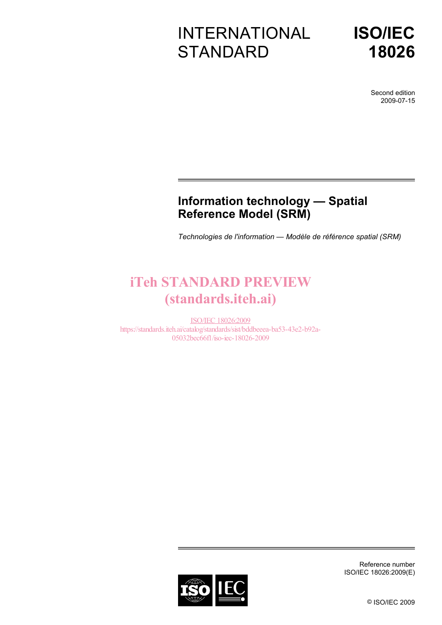# INTERNATIONAL **STANDARD**

**ISO/IEC 18026**

> Second edition 2009-07-15

### **Information technology — Spatial Reference Model (SRM)**

*Technologies de l'information — Modèle de référence spatial (SRM)* 

## iTeh STANDARD PREVIEW (standards.iteh.ai)

ISO/IEC 18026:2009 https://standards.iteh.ai/catalog/standards/sist/bddbeeea-ba53-43e2-b92a-05032bec66f1/iso-iec-18026-2009



Reference number ISO/IEC 18026:2009(E)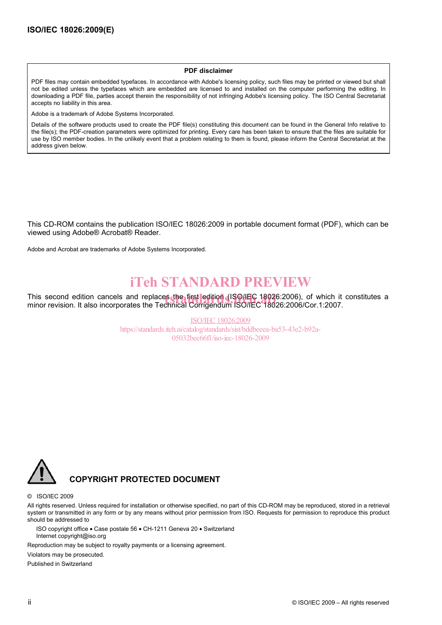#### **PDF disclaimer**

PDF files may contain embedded typefaces. In accordance with Adobe's licensing policy, such files may be printed or viewed but shall not be edited unless the typefaces which are embedded are licensed to and installed on the computer performing the editing. In downloading a PDF file, parties accept therein the responsibility of not infringing Adobe's licensing policy. The ISO Central Secretariat accepts no liability in this area.

Adobe is a trademark of Adobe Systems Incorporated.

Details of the software products used to create the PDF file(s) constituting this document can be found in the General Info relative to the file(s); the PDF-creation parameters were optimized for printing. Every care has been taken to ensure that the files are suitable for use by ISO member bodies. In the unlikely event that a problem relating to them is found, please inform the Central Secretariat at the address given below.

This CD-ROM contains the publication ISO/IEC 18026:2009 in portable document format (PDF), which can be viewed using Adobe® Acrobat® Reader.

Adobe and Acrobat are trademarks of Adobe Systems Incorporated.

## iTeh STANDARD PREVIEW

This second edition cancels and replaces the first edition (ISO/IEC 18026:2006), of which it constitutes a<br>minor revision It also incorporates the Technical Corrigendum ISO/IEC 18026:2006/Cor 1:2007 minor revision. It also incorporates the Technical Corrigendum ISO/IEC 18026:2006/Cor.1:2007.

> ISO/IEC 18026:2009 https://standards.iteh.ai/catalog/standards/sist/bddbeeea-ba53-43e2-b92a-05032bec66f1/iso-iec-18026-2009



#### **COPYRIGHT PROTECTED DOCUMENT**

#### © ISO/IEC 2009

All rights reserved. Unless required for installation or otherwise specified, no part of this CD-ROM may be reproduced, stored in a retrieval system or transmitted in any form or by any means without prior permission from ISO. Requests for permission to reproduce this product should be addressed to

ISO copyright office • Case postale 56 • CH-1211 Geneva 20 • Switzerland Internet copyright@iso.org

Reproduction may be subject to royalty payments or a licensing agreement.

Violators may be prosecuted.

Published in Switzerland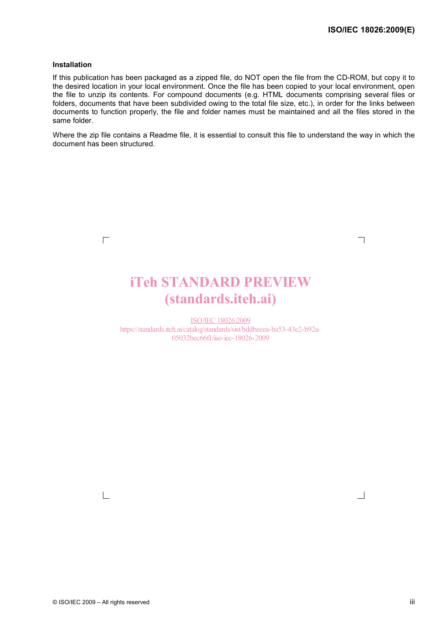┑

 $\Box$ 

#### **Installation**

 $\Gamma$ 

If this publication has been packaged as a zipped file, do NOT open the file from the CD-ROM, but copy it to the desired location in your local environment. Once the file has been copied to your local environment, open the file to unzip its contents. For compound documents (e.g. HTML documents comprising several files or folders, documents that have been subdivided owing to the total file size, etc.), in order for the links between documents to function properly, the file and folder names must be maintained and all the files stored in the same folder.

Where the zip file contains a Readme file, it is essential to consult this file to understand the way in which the document has been structured.

# **iTeh STANDARD PREVIEW**<br>
(standards.iteh.ai)<br>
https://standards.iteh.ai/262009<br>
https://standards.iteh.ai/26talog/standards/sixt/bddbeeea-ba53-43e2-b92a-<br>
05032bec66fl/iso-iec-18026-2009 (standards.iteh.ai)

ISO/IEC 18026:2009 https://standards.iteh.ai/catalog/standards/sist/bddbeeea-ba53-43e2-b92a-05032bec66f1/iso-iec-18026-2009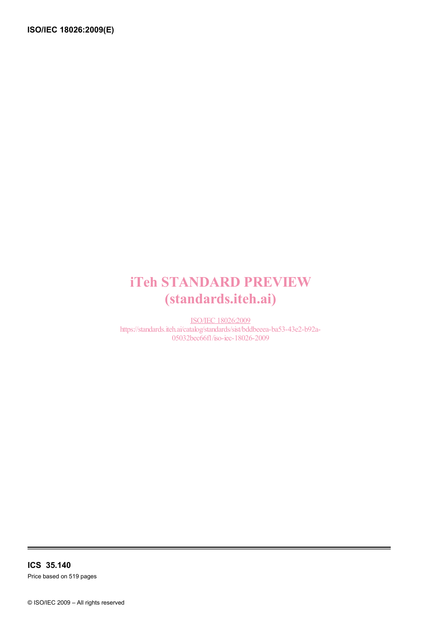## iTeh STANDARD PREVIEW (standards.iteh.ai)

ISO/IEC 18026:2009 https://standards.iteh.ai/catalog/standards/sist/bddbeeea-ba53-43e2-b92a-05032bec66f1/iso-iec-18026-2009

**ICS 35.140**  Price based on 519 pages